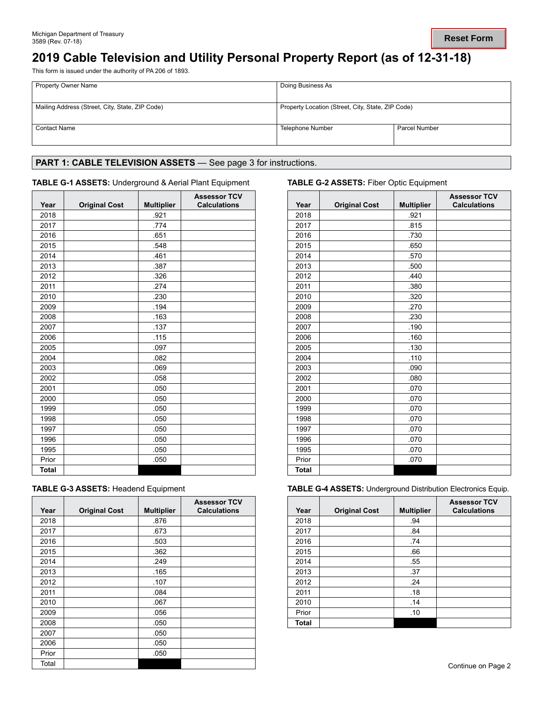# **2019 Cable Television and Utility Personal Property Report (as of 12-31-18)**

This form is issued under the authority of PA 206 of 1893.

| <b>Property Owner Name</b>                      | Doing Business As                                 |                      |  |
|-------------------------------------------------|---------------------------------------------------|----------------------|--|
| Mailing Address (Street, City, State, ZIP Code) | Property Location (Street, City, State, ZIP Code) |                      |  |
| <b>Contact Name</b>                             | Telephone Number                                  | <b>Parcel Number</b> |  |

## PART 1: CABLE TELEVISION ASSETS - See page 3 for instructions.

### **TABLE G-1 ASSETS:** Underground & Aerial Plant Equipment **TABLE G-2 ASSETS:** Fiber Optic Equipment

| Year         | <b>Original Cost</b> | <b>Multiplier</b> | <b>Assessor TCV</b><br><b>Calculations</b> | Year         | <b>Original Cost</b> | <b>Multipl</b> |
|--------------|----------------------|-------------------|--------------------------------------------|--------------|----------------------|----------------|
| 2018         |                      | .921              |                                            | 2018         |                      | .921           |
| 2017         |                      | .774              |                                            | 2017         |                      | .815           |
| 2016         |                      | .651              |                                            | 2016         |                      | .730           |
| 2015         |                      | .548              |                                            | 2015         |                      | .650           |
| 2014         |                      | .461              |                                            | 2014         |                      | .570           |
| 2013         |                      | .387              |                                            | 2013         |                      | .500           |
| 2012         |                      | .326              |                                            | 2012         |                      | .440           |
| 2011         |                      | .274              |                                            | 2011         |                      | .380           |
| 2010         |                      | .230              |                                            | 2010         |                      | .320           |
| 2009         |                      | .194              |                                            | 2009         |                      | .270           |
| 2008         |                      | .163              |                                            | 2008         |                      | .230           |
| 2007         |                      | .137              |                                            | 2007         |                      | .190           |
| 2006         |                      | .115              |                                            | 2006         |                      | .160           |
| 2005         |                      | .097              |                                            | 2005         |                      | .130           |
| 2004         |                      | .082              |                                            | 2004         |                      | .110           |
| 2003         |                      | .069              |                                            | 2003         |                      | .090           |
| 2002         |                      | .058              |                                            | 2002         |                      | .080           |
| 2001         |                      | .050              |                                            | 2001         |                      | .070           |
| 2000         |                      | .050              |                                            | 2000         |                      | .070           |
| 1999         |                      | .050              |                                            | 1999         |                      | .070           |
| 1998         |                      | .050              |                                            | 1998         |                      | .070           |
| 1997         |                      | .050              |                                            | 1997         |                      | .070           |
| 1996         |                      | .050              |                                            | 1996         |                      | .070           |
| 1995         |                      | .050              |                                            | 1995         |                      | .070           |
| Prior        |                      | .050              |                                            | Prior        |                      | .070           |
| <b>Total</b> |                      |                   |                                            | <b>Total</b> |                      |                |

|  | <b>TABLE G-3 ASSETS: Headend Equipment</b> |  |  |
|--|--------------------------------------------|--|--|
|  |                                            |  |  |

| Year  | <b>Original Cost</b> | <b>Multiplier</b> | <b>Assessor TCV</b><br><b>Calculations</b> | Year  | <b>Original Cost</b> | <b>Multip</b> |
|-------|----------------------|-------------------|--------------------------------------------|-------|----------------------|---------------|
| 2018  |                      | .876              |                                            | 2018  |                      | .94           |
| 2017  |                      | .673              |                                            | 2017  |                      | .84           |
| 2016  |                      | .503              |                                            | 2016  |                      | .74           |
| 2015  |                      | .362              |                                            | 2015  |                      | .66           |
| 2014  |                      | .249              |                                            | 2014  |                      | .55           |
| 2013  |                      | .165              |                                            | 2013  |                      | .37           |
| 2012  |                      | .107              |                                            | 2012  |                      | .24           |
| 2011  |                      | .084              |                                            | 2011  |                      | .18           |
| 2010  |                      | .067              |                                            | 2010  |                      | .14           |
| 2009  |                      | .056              |                                            | Prior |                      | .10           |
| 2008  |                      | .050              |                                            | Total |                      |               |
| 2007  |                      | .050              |                                            |       |                      |               |
| 2006  |                      | .050              |                                            |       |                      |               |
| Prior |                      | .050              |                                            |       |                      |               |
| Total |                      |                   |                                            |       |                      |               |

| <b>Assessor TCV</b><br><b>Calculations</b> | Year         | <b>Original Cost</b> | <b>Multiplier</b> | <b>Assessor TCV</b><br><b>Calculations</b> |
|--------------------------------------------|--------------|----------------------|-------------------|--------------------------------------------|
|                                            | 2018         |                      | .921              |                                            |
|                                            | 2017         |                      | .815              |                                            |
|                                            | 2016         |                      | .730              |                                            |
|                                            | 2015         |                      | .650              |                                            |
|                                            | 2014         |                      | .570              |                                            |
|                                            | 2013         |                      | .500              |                                            |
|                                            | 2012         |                      | .440              |                                            |
|                                            | 2011         |                      | .380              |                                            |
|                                            | 2010         |                      | .320              |                                            |
|                                            | 2009         |                      | .270              |                                            |
|                                            | 2008         |                      | .230              |                                            |
|                                            | 2007         |                      | .190              |                                            |
|                                            | 2006         |                      | .160              |                                            |
|                                            | 2005         |                      | .130              |                                            |
|                                            | 2004         |                      | .110              |                                            |
|                                            | 2003         |                      | .090              |                                            |
|                                            | 2002         |                      | .080              |                                            |
|                                            | 2001         |                      | .070              |                                            |
|                                            | 2000         |                      | .070              |                                            |
|                                            | 1999         |                      | .070              |                                            |
|                                            | 1998         |                      | .070              |                                            |
|                                            | 1997         |                      | .070              |                                            |
|                                            | 1996         |                      | .070              |                                            |
|                                            | 1995         |                      | .070              |                                            |
|                                            | Prior        |                      | .070              |                                            |
|                                            | <b>Total</b> |                      |                   |                                            |

**TABLE G-4 ASSETS: Underground Distribution Electronics Equip.** 

| <b>Assessor TCV</b><br><b>Calculations</b> | Year         | <b>Original Cost</b> | <b>Multiplier</b> | <b>Assessor TCV</b><br><b>Calculations</b> |
|--------------------------------------------|--------------|----------------------|-------------------|--------------------------------------------|
|                                            | 2018         |                      | .94               |                                            |
|                                            | 2017         |                      | .84               |                                            |
|                                            | 2016         |                      | .74               |                                            |
|                                            | 2015         |                      | .66               |                                            |
|                                            | 2014         |                      | .55               |                                            |
|                                            | 2013         |                      | .37               |                                            |
|                                            | 2012         |                      | .24               |                                            |
|                                            | 2011         |                      | .18               |                                            |
|                                            | 2010         |                      | .14               |                                            |
|                                            | Prior        |                      | .10               |                                            |
|                                            | <b>Total</b> |                      |                   |                                            |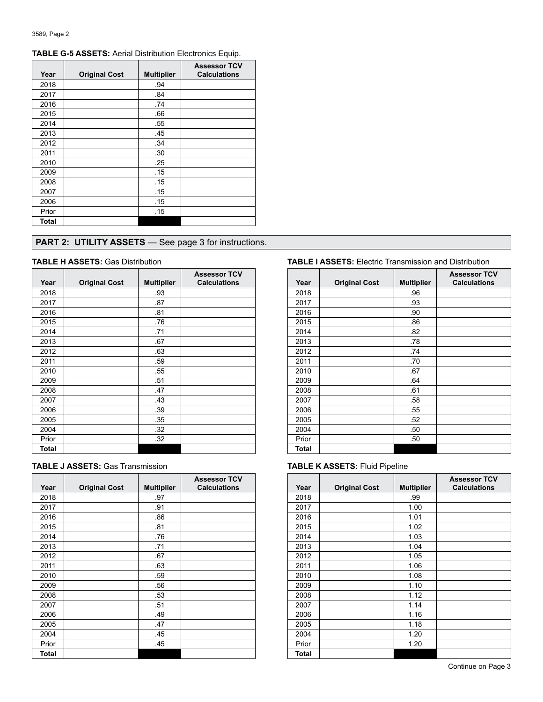| Year         | <b>Original Cost</b> | <b>Multiplier</b> | <b>Assessor TCV</b><br><b>Calculations</b> |
|--------------|----------------------|-------------------|--------------------------------------------|
| 2018         |                      | .94               |                                            |
| 2017         |                      | .84               |                                            |
| 2016         |                      | .74               |                                            |
| 2015         |                      | .66               |                                            |
| 2014         |                      | .55               |                                            |
| 2013         |                      | .45               |                                            |
| 2012         |                      | .34               |                                            |
| 2011         |                      | .30               |                                            |
| 2010         |                      | .25               |                                            |
| 2009         |                      | .15               |                                            |
| 2008         |                      | .15               |                                            |
| 2007         |                      | .15               |                                            |
| 2006         |                      | .15               |                                            |
| Prior        |                      | .15               |                                            |
| <b>Total</b> |                      |                   |                                            |

## **TABLE G-5 ASSETS:** Aerial Distribution Electronics Equip.

## **PART 2: UTILITY ASSETS** — See page 3 for instructions.

| Year  | <b>Original Cost</b> | <b>Multiplier</b> | <b>Assessor TCV</b><br><b>Calculations</b> | Year  |  |
|-------|----------------------|-------------------|--------------------------------------------|-------|--|
|       |                      | .93               |                                            | 2018  |  |
| 2018  |                      |                   |                                            |       |  |
| 2017  |                      | .87               |                                            | 2017  |  |
| 2016  |                      | .81               |                                            | 2016  |  |
| 2015  |                      | .76               |                                            | 2015  |  |
| 2014  |                      | .71               |                                            | 2014  |  |
| 2013  |                      | .67               |                                            | 2013  |  |
| 2012  |                      | .63               |                                            | 2012  |  |
| 2011  |                      | .59               |                                            | 2011  |  |
| 2010  |                      | .55               |                                            | 2010  |  |
| 2009  |                      | .51               |                                            | 2009  |  |
| 2008  |                      | .47               |                                            | 2008  |  |
| 2007  |                      | .43               |                                            | 2007  |  |
| 2006  |                      | .39               |                                            | 2006  |  |
| 2005  |                      | .35               |                                            | 2005  |  |
| 2004  |                      | .32               |                                            | 2004  |  |
| Prior |                      | .32               |                                            | Prior |  |
| Total |                      |                   |                                            | Total |  |

|  |  |  |  |  | <b>TABLE J ASSETS: Gas Transmission</b> |
|--|--|--|--|--|-----------------------------------------|
|--|--|--|--|--|-----------------------------------------|

|       |                      |                   | <b>Assessor TCV</b> |       |                      |                |
|-------|----------------------|-------------------|---------------------|-------|----------------------|----------------|
| Year  | <b>Original Cost</b> | <b>Multiplier</b> | <b>Calculations</b> | Year  | <b>Original Cost</b> | <b>Multipl</b> |
| 2018  |                      | .97               |                     | 2018  |                      | .99            |
| 2017  |                      | .91               |                     | 2017  |                      | 1.00           |
| 2016  |                      | .86               |                     | 2016  |                      | 1.01           |
| 2015  |                      | .81               |                     | 2015  |                      | 1.02           |
| 2014  |                      | .76               |                     | 2014  |                      | 1.03           |
| 2013  |                      | .71               |                     | 2013  |                      | 1.04           |
| 2012  |                      | .67               |                     | 2012  |                      | 1.05           |
| 2011  |                      | .63               |                     | 2011  |                      | 1.06           |
| 2010  |                      | .59               |                     | 2010  |                      | 1.08           |
| 2009  |                      | .56               |                     | 2009  |                      | 1.10           |
| 2008  |                      | .53               |                     | 2008  |                      | 1.12           |
| 2007  |                      | .51               |                     | 2007  |                      | 1.14           |
| 2006  |                      | .49               |                     | 2006  |                      | 1.16           |
| 2005  |                      | .47               |                     | 2005  |                      | 1.18           |
| 2004  |                      | .45               |                     | 2004  |                      | 1.20           |
| Prior |                      | .45               |                     | Prior |                      | 1.20           |
| Total |                      |                   |                     | Total |                      |                |

### **TABLE H ASSETS:** Gas Distribution **TABLE I ASSETS:** Electric Transmission and Distribution

| <b>Assessor TCV</b><br><b>Calculations</b> | Year         | <b>Original Cost</b> | <b>Multiplier</b> | <b>Assessor TCV</b><br><b>Calculations</b> |
|--------------------------------------------|--------------|----------------------|-------------------|--------------------------------------------|
|                                            | 2018         |                      | .96               |                                            |
|                                            | 2017         |                      | .93               |                                            |
|                                            | 2016         |                      | .90               |                                            |
|                                            | 2015         |                      | .86               |                                            |
|                                            | 2014         |                      | .82               |                                            |
|                                            | 2013         |                      | .78               |                                            |
|                                            | 2012         |                      | .74               |                                            |
|                                            | 2011         |                      | .70               |                                            |
|                                            | 2010         |                      | .67               |                                            |
|                                            | 2009         |                      | .64               |                                            |
|                                            | 2008         |                      | .61               |                                            |
|                                            | 2007         |                      | .58               |                                            |
|                                            | 2006         |                      | .55               |                                            |
|                                            | 2005         |                      | .52               |                                            |
|                                            | 2004         |                      | .50               |                                            |
|                                            | Prior        |                      | .50               |                                            |
|                                            | <b>Total</b> |                      |                   |                                            |

### **TABLE K ASSETS: Fluid Pipeline**

| <b>Assessor TCV</b><br><b>Calculations</b> | Year  | <b>Original Cost</b> | <b>Multiplier</b> | <b>Assessor TCV</b><br><b>Calculations</b> |
|--------------------------------------------|-------|----------------------|-------------------|--------------------------------------------|
|                                            | 2018  |                      | .99               |                                            |
|                                            | 2017  |                      | 1.00              |                                            |
|                                            | 2016  |                      | 1.01              |                                            |
|                                            | 2015  |                      | 1.02              |                                            |
|                                            | 2014  |                      | 1.03              |                                            |
|                                            | 2013  |                      | 1.04              |                                            |
|                                            | 2012  |                      | 1.05              |                                            |
|                                            | 2011  |                      | 1.06              |                                            |
|                                            | 2010  |                      | 1.08              |                                            |
|                                            | 2009  |                      | 1.10              |                                            |
|                                            | 2008  |                      | 1.12              |                                            |
|                                            | 2007  |                      | 1.14              |                                            |
|                                            | 2006  |                      | 1.16              |                                            |
|                                            | 2005  |                      | 1.18              |                                            |
|                                            | 2004  |                      | 1.20              |                                            |
|                                            | Prior |                      | 1.20              |                                            |
|                                            | Total |                      |                   |                                            |